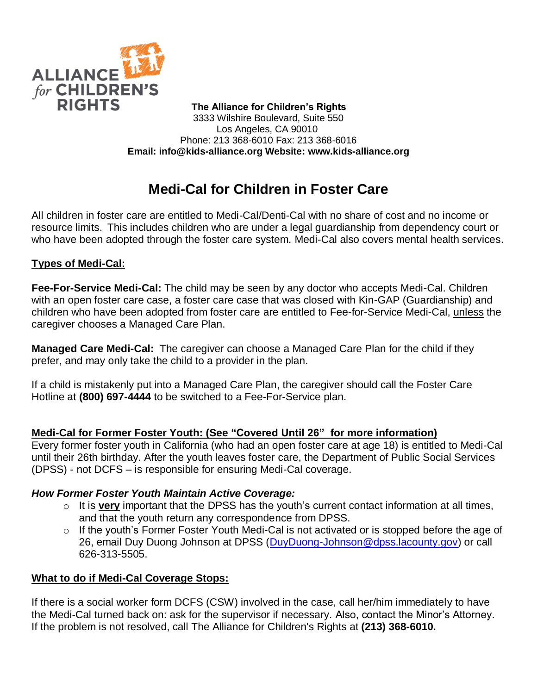

 **The Alliance for Children's Rights** 3333 Wilshire Boulevard, Suite 550 Los Angeles, CA 90010 Phone: 213 368-6010 Fax: 213 368-6016 **Email: info@kids-alliance.org Website: www.kids-alliance.org**

# **Medi-Cal for Children in Foster Care**

All children in foster care are entitled to Medi-Cal/Denti-Cal with no share of cost and no income or resource limits. This includes children who are under a legal guardianship from dependency court or who have been adopted through the foster care system. Medi-Cal also covers mental health services.

## **Types of Medi-Cal:**

**Fee-For-Service Medi-Cal:** The child may be seen by any doctor who accepts Medi-Cal. Children with an open foster care case, a foster care case that was closed with Kin-GAP (Guardianship) and children who have been adopted from foster care are entitled to Fee-for-Service Medi-Cal, unless the caregiver chooses a Managed Care Plan.

**Managed Care Medi-Cal:** The caregiver can choose a Managed Care Plan for the child if they prefer, and may only take the child to a provider in the plan.

If a child is mistakenly put into a Managed Care Plan, the caregiver should call the Foster Care Hotline at **(800) 697-4444** to be switched to a Fee-For-Service plan.

#### **Medi-Cal for Former Foster Youth: (See "Covered Until 26" for more information)**

Every former foster youth in California (who had an open foster care at age 18) is entitled to Medi-Cal until their 26th birthday. After the youth leaves foster care, the Department of Public Social Services (DPSS) - not DCFS – is responsible for ensuring Medi-Cal coverage.

#### *How Former Foster Youth Maintain Active Coverage:*

- o It is **very** important that the DPSS has the youth's current contact information at all times, and that the youth return any correspondence from DPSS.
- o If the youth's Former Foster Youth Medi-Cal is not activated or is stopped before the age of 26, email Duy Duong Johnson at DPSS [\(DuyDuong-Johnson@dpss.lacounty.gov\)](mailto:DuyDuong-Johnson@dpss.lacounty.gov) or call 626-313-5505.

#### **What to do if Medi-Cal Coverage Stops:**

If there is a social worker form DCFS (CSW) involved in the case, call her/him immediately to have the Medi-Cal turned back on: ask for the supervisor if necessary. Also, contact the Minor's Attorney. If the problem is not resolved, call The Alliance for Children's Rights at **(213) 368-6010.**